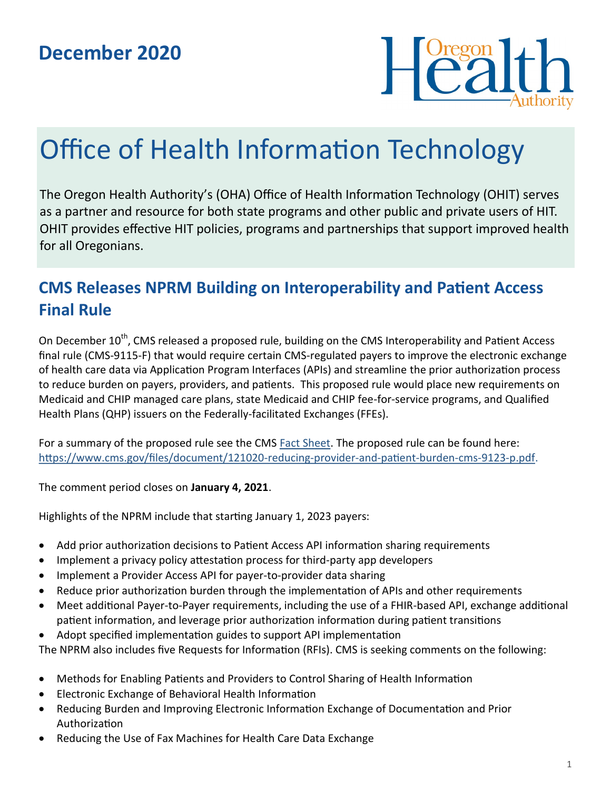

# Office of Health Information Technology

The Oregon Health Authority's (OHA) Office of Health Information Technology (OHIT) serves as a partner and resource for both state programs and other public and private users of HIT. OHIT provides effective HIT policies, programs and partnerships that support improved health for all Oregonians.

## **CMS Releases NPRM Building on Interoperability and Patient Access Final Rule**

On December 10<sup>th</sup>, CMS released a proposed rule, building on the CMS Interoperability and Patient Access final rule (CMS-9115-F) that would require certain CMS-regulated payers to improve the electronic exchange of health care data via Application Program Interfaces (APIs) and streamline the prior authorization process to reduce burden on payers, providers, and patients. This proposed rule would place new requirements on Medicaid and CHIP managed care plans, state Medicaid and CHIP fee-for-service programs, and Qualified Health Plans (QHP) issuers on the Federally-facilitated Exchanges (FFEs).

For a summary of the proposed rule see the CMS [Fact Sheet.](https://www.cms.gov/newsroom/fact-sheets/reducing-provider-and-patient-burden-improving-prior-authorization-processes-and-promoting-patients) The proposed rule can be found here: [https://www.cms.gov/files/document/121020](https://www.cms.gov/files/document/121020-reducing-provider-and-patient-burden-cms-9123-p.pdf)-reducing-provider-and-patient-burden-cms-9123-p.pdf.

The comment period closes on **January 4, 2021**.

Highlights of the NPRM include that starting January 1, 2023 payers:

- Add prior authorization decisions to Patient Access API information sharing requirements
- Implement a privacy policy attestation process for third-party app developers
- Implement a Provider Access API for payer-to-provider data sharing
- Reduce prior authorization burden through the implementation of APIs and other requirements
- Meet additional Payer-to-Payer requirements, including the use of a FHIR-based API, exchange additional patient information, and leverage prior authorization information during patient transitions
- Adopt specified implementation guides to support API implementation

The NPRM also includes five Requests for Information (RFIs). CMS is seeking comments on the following:

- Methods for Enabling Patients and Providers to Control Sharing of Health Information
- Electronic Exchange of Behavioral Health Information
- Reducing Burden and Improving Electronic Information Exchange of Documentation and Prior Authorization
- Reducing the Use of Fax Machines for Health Care Data Exchange